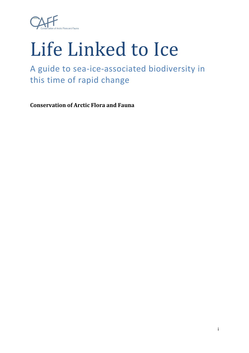

## Life Linked to Ice

## A guide to sea-ice-associated biodiversity in this time of rapid change

**Conservation of Arctic Flora and Fauna**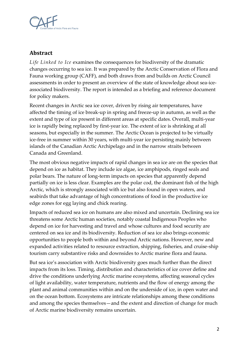

## **Abstract**

*Life Linked to Ice* examines the consequences for biodiversity of the dramatic changes occurring to sea ice. It was prepared by the Arctic Conservation of Flora and Fauna working group (CAFF), and both draws from and builds on Arctic Council assessments in order to present an overview of the state of knowledge about sea-iceassociated biodiversity. The report is intended as a briefing and reference document for policy makers.

Recent changes in Arctic sea ice cover, driven by rising air temperatures, have affected the timing of ice break-up in spring and freeze-up in autumn, as well as the extent and type of ice present in different areas at specific dates. Overall, multi-year ice is rapidly being replaced by first-year ice. The extent of ice is shrinking at all seasons, but especially in the summer. The Arctic Ocean is projected to be virtually ice-free in summer within 30 years, with multi-year ice persisting mainly between islands of the Canadian Arctic Archipelago and in the narrow straits between Canada and Greenland.

The most obvious negative impacts of rapid changes in sea ice are on the species that depend on ice as habitat. They include ice algae, ice amphipods, ringed seals and polar bears. The nature of long-term impacts on species that apparently depend partially on ice is less clear. Examples are the polar cod, the dominant fish of the high Arctic, which is strongly associated with ice but also found in open waters, and seabirds that take advantage of high concentrations of food in the productive ice edge zones for egg laying and chick rearing.

Impacts of reduced sea ice on humans are also mixed and uncertain. Declining sea ice threatens some Arctic human societies, notably coastal Indigenous Peoples who depend on ice for harvesting and travel and whose cultures and food security are centered on sea ice and its biodiversity. Reduction of sea ice also brings economic opportunities to people both within and beyond Arctic nations. However, new and expanded activities related to resource extraction, shipping, fisheries, and cruise-ship tourism carry substantive risks and downsides to Arctic marine flora and fauna.

But sea ice's association with Arctic biodiversity goes much further than the direct impacts from its loss. Timing, distribution and characteristics of ice cover define and drive the conditions underlying Arctic marine ecosystems, affecting seasonal cycles of light availability, water temperature, nutrients and the flow of energy among the plant and animal communities within and on the underside of ice, in open water and on the ocean bottom. Ecosystems are intricate relationships among these conditions and among the species themselves—and the extent and direction of change for much of Arctic marine biodiversity remains uncertain.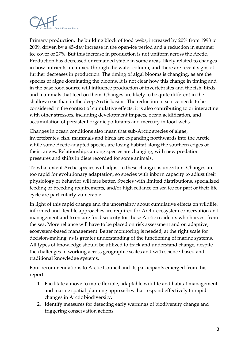

Primary production, the building block of food webs, increased by 20% from 1998 to 2009, driven by a 45-day increase in the open-ice period and a reduction in summer ice cover of 27%. But this increase in production is not uniform across the Arctic. Production has decreased or remained stable in some areas, likely related to changes in how nutrients are mixed through the water column, and there are recent signs of further decreases in production. The timing of algal blooms is changing, as are the species of algae dominating the blooms. It is not clear how this change in timing and in the base food source will influence production of invertebrates and the fish, birds and mammals that feed on them. Changes are likely to be quite different in the shallow seas than in the deep Arctic basins. The reduction in sea ice needs to be considered in the context of cumulative effects: it is also contributing to or interacting with other stressors, including development impacts, ocean acidification, and accumulation of persistent organic pollutants and mercury in food webs.

Changes in ocean conditions also mean that sub-Arctic species of algae, invertebrates, fish, mammals and birds are expanding northwards into the Arctic, while some Arctic-adapted species are losing habitat along the southern edges of their ranges. Relationships among species are changing, with new predation pressures and shifts in diets recorded for some animals.

To what extent Arctic species will adjust to these changes is uncertain. Changes are too rapid for evolutionary adaptation, so species with inborn capacity to adjust their physiology or behavior will fare better. Species with limited distributions, specialized feeding or breeding requirements, and/or high reliance on sea ice for part of their life cycle are particularly vulnerable.

In light of this rapid change and the uncertainty about cumulative effects on wildlife, informed and flexible approaches are required for Arctic ecosystem conservation and management and to ensure food security for those Arctic residents who harvest from the sea. More reliance will have to be placed on risk assessment and on adaptive, ecosystem-based management. Better monitoring is needed, at the right scale for decision-making, as is greater understanding of the functioning of marine systems. All types of knowledge should be utilized to track and understand change, despite the challenges in working across geographic scales and with science-based and traditional knowledge systems.

Four recommendations to Arctic Council and its participants emerged from this report:

- 1. Facilitate a move to more flexible, adaptable wildlife and habitat management and marine spatial planning approaches that respond effectively to rapid changes in Arctic biodiversity.
- 2. Identify measures for detecting early warnings of biodiversity change and triggering conservation actions.